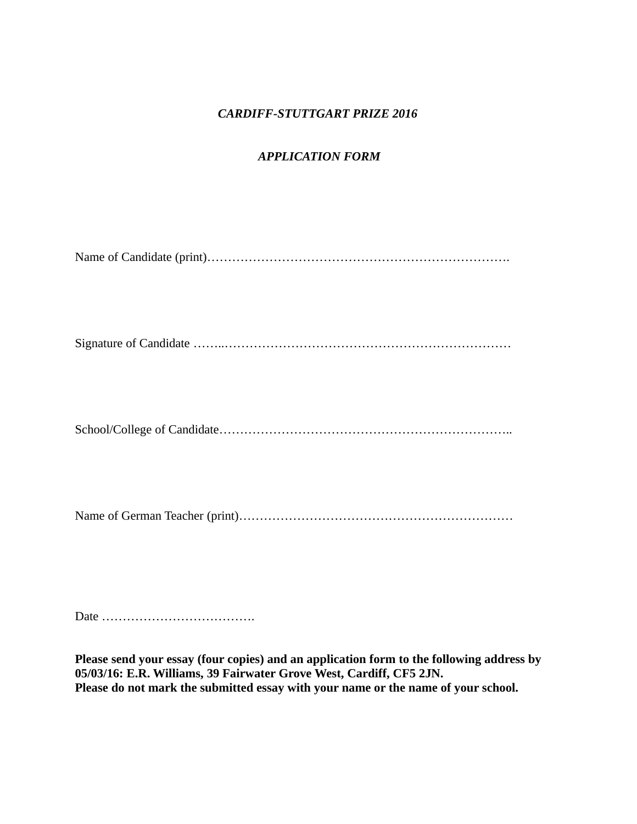## *CARDIFF-STUTTGART PRIZE 2016*

# *APPLICATION FORM*

Date ……………………………….

**Please send your essay (four copies) and an application form to the following address by 05/03/16: E.R. Williams, 39 Fairwater Grove West, Cardiff, CF5 2JN. Please do not mark the submitted essay with your name or the name of your school.**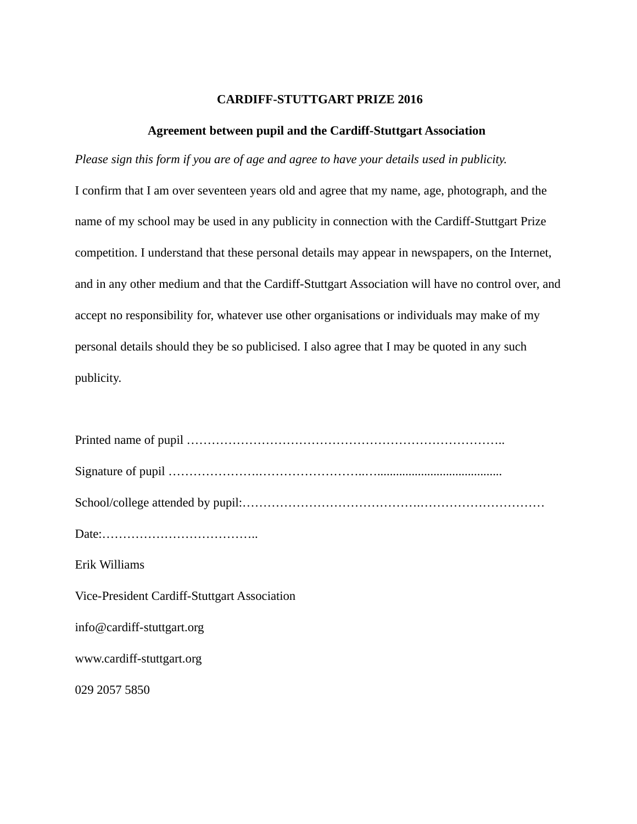#### **CARDIFF-STUTTGART PRIZE 2016**

#### **Agreement between pupil and the Cardiff-Stuttgart Association**

*Please sign this form if you are of age and agree to have your details used in publicity.* I confirm that I am over seventeen years old and agree that my name, age, photograph, and the name of my school may be used in any publicity in connection with the Cardiff-Stuttgart Prize competition. I understand that these personal details may appear in newspapers, on the Internet, and in any other medium and that the Cardiff-Stuttgart Association will have no control over, and accept no responsibility for, whatever use other organisations or individuals may make of my personal details should they be so publicised. I also agree that I may be quoted in any such publicity.

| Erik Williams                                |
|----------------------------------------------|
| Vice-President Cardiff-Stuttgart Association |
| $info@cardiff$ -stuttgart.org                |
| www.cardiff-stuttgart.org                    |
| 029 2057 5850                                |